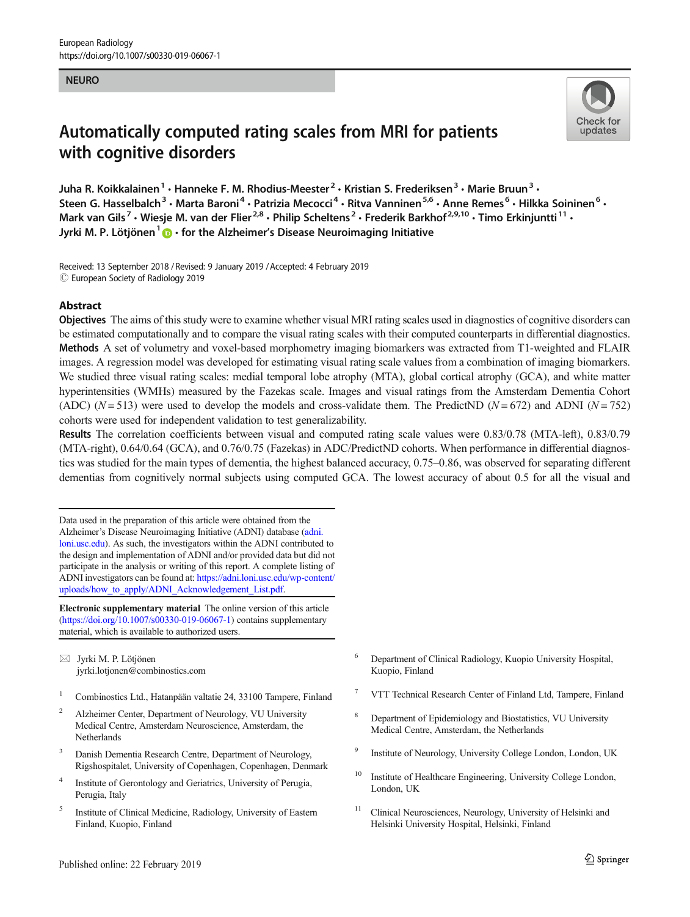#### NEURO

# Automatically computed rating scales from MRI for patients with cognitive disorders



Juha R. Koikkalainen<sup>1</sup> • Hanneke F. M. Rhodius-Meester<sup>2</sup> • Kristian S. Frederiksen<sup>3</sup> • Marie Bruun<sup>3</sup> • Steen G. Hasselbalch<sup>3</sup> • Marta Baroni<sup>4</sup> • Patrizia Mecocci<sup>4</sup> • Ritva Vanninen<sup>5,6</sup> • Anne Remes<sup>6</sup> • Hilkka Soininen<sup>6</sup> • Mark van Gils<sup>7</sup> • Wiesje M. van der Flier<sup>2,8</sup> • Philip Scheltens<sup>2</sup> • Frederik Barkhof<sup>2,9,10</sup> • Timo Erkiniuntti<sup>11</sup> • Jyrki M. P. Lötjönen $1\bigoplus$  • for the Alzheimer's Disease Neuroimaging Initiative

Received: 13 September 2018 / Revised: 9 January 2019 /Accepted: 4 February 2019  $\circled{c}$  European Society of Radiology 2019

# Abstract

Objectives The aims of this study were to examine whether visual MRI rating scales used in diagnostics of cognitive disorders can be estimated computationally and to compare the visual rating scales with their computed counterparts in differential diagnostics. Methods A set of volumetry and voxel-based morphometry imaging biomarkers was extracted from T1-weighted and FLAIR images. A regression model was developed for estimating visual rating scale values from a combination of imaging biomarkers. We studied three visual rating scales: medial temporal lobe atrophy (MTA), global cortical atrophy (GCA), and white matter hyperintensities (WMHs) measured by the Fazekas scale. Images and visual ratings from the Amsterdam Dementia Cohort (ADC) ( $N = 513$ ) were used to develop the models and cross-validate them. The PredictND ( $N = 672$ ) and ADNI ( $N = 752$ ) cohorts were used for independent validation to test generalizability.

Results The correlation coefficients between visual and computed rating scale values were 0.83/0.78 (MTA-left), 0.83/0.79 (MTA-right), 0.64/0.64 (GCA), and 0.76/0.75 (Fazekas) in ADC/PredictND cohorts. When performance in differential diagnostics was studied for the main types of dementia, the highest balanced accuracy, 0.75–0.86, was observed for separating different dementias from cognitively normal subjects using computed GCA. The lowest accuracy of about 0.5 for all the visual and

Data used in the preparation of this article were obtained from the Alzheimer's Disease Neuroimaging Initiative (ADNI) database [\(adni.](http://dni.loni.usc.edu) [loni.usc.edu](http://dni.loni.usc.edu)). As such, the investigators within the ADNI contributed to the design and implementation of ADNI and/or provided data but did not participate in the analysis or writing of this report. A complete listing of ADNI investigators can be found at: [https://adni.loni.usc.edu/wp-content/](https://adni.loni.usc.edu/wp-content/uploads/how_to_apply/ADNI_Acknowledgement_List.pdf) [uploads/how\\_to\\_apply/ADNI\\_Acknowledgement\\_List.pdf](https://adni.loni.usc.edu/wp-content/uploads/how_to_apply/ADNI_Acknowledgement_List.pdf).

Electronic supplementary material The online version of this article ([https://doi.org/10.1007/s00330-019-06067-1\)](https://doi.org/10.1007/s00330-019-06067-1) contains supplementary material, which is available to authorized users.

 $\boxtimes$  Jyrki M. P. Lötjönen [jyrki.lotjonen@combinostics.com](mailto:jyrki.lotjonen@combinostics.com)

- <sup>1</sup> Combinostics Ltd., Hatanpään valtatie 24, 33100 Tampere, Finland
- <sup>2</sup> Alzheimer Center, Department of Neurology, VU University Medical Centre, Amsterdam Neuroscience, Amsterdam, the Netherlands
- Danish Dementia Research Centre, Department of Neurology, Rigshospitalet, University of Copenhagen, Copenhagen, Denmark
- <sup>4</sup> Institute of Gerontology and Geriatrics, University of Perugia, Perugia, Italy
- <sup>5</sup> Institute of Clinical Medicine, Radiology, University of Eastern Finland, Kuopio, Finland
- <sup>6</sup> Department of Clinical Radiology, Kuopio University Hospital, Kuopio, Finland
- <sup>7</sup> VTT Technical Research Center of Finland Ltd, Tampere, Finland
- <sup>8</sup> Department of Epidemiology and Biostatistics, VU University Medical Centre, Amsterdam, the Netherlands
- <sup>9</sup> Institute of Neurology, University College London, London, UK
- <sup>10</sup> Institute of Healthcare Engineering, University College London, London, UK
- <sup>11</sup> Clinical Neurosciences, Neurology, University of Helsinki and Helsinki University Hospital, Helsinki, Finland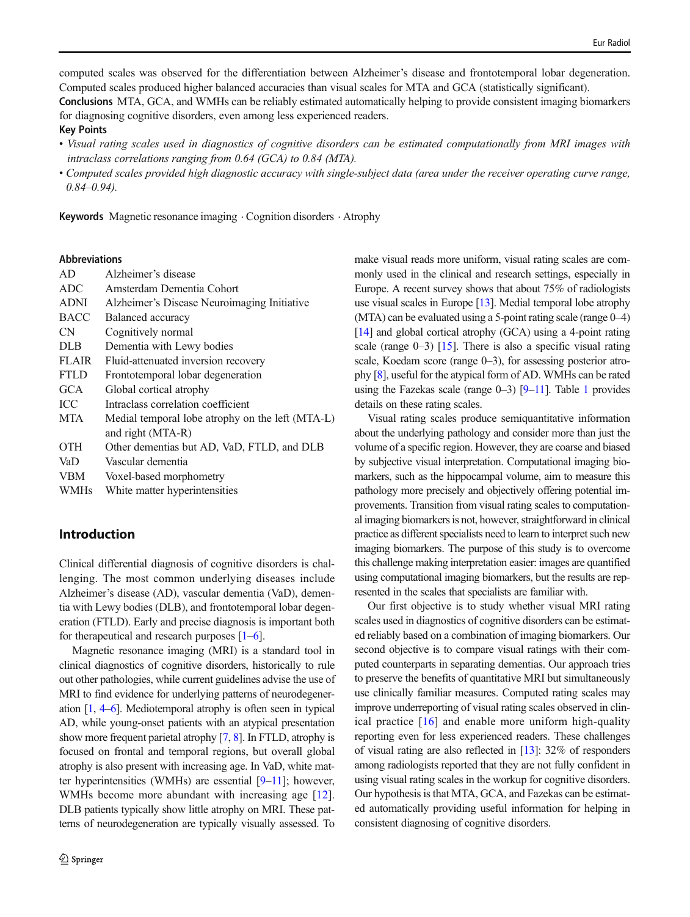computed scales was observed for the differentiation between Alzheimer's disease and frontotemporal lobar degeneration. Computed scales produced higher balanced accuracies than visual scales for MTA and GCA (statistically significant).

Conclusions MTA, GCA, and WMHs can be reliably estimated automatically helping to provide consistent imaging biomarkers for diagnosing cognitive disorders, even among less experienced readers.

#### Key Points

- Visual rating scales used in diagnostics of cognitive disorders can be estimated computationally from MRI images with intraclass correlations ranging from 0.64 (GCA) to 0.84 (MTA).
- Computed scales provided high diagnostic accuracy with single-subject data (area under the receiver operating curve range,  $0.84 - 0.94$ ).

Keywords Magnetic resonance imaging . Cognition disorders . Atrophy

#### Abbreviations

| AD           | Alzheimer's disease                              |
|--------------|--------------------------------------------------|
| <b>ADC</b>   | Amsterdam Dementia Cohort                        |
| <b>ADNI</b>  | Alzheimer's Disease Neuroimaging Initiative      |
| <b>BACC</b>  | Balanced accuracy                                |
| <b>CN</b>    | Cognitively normal                               |
| <b>DLB</b>   | Dementia with Lewy bodies                        |
| <b>FLAIR</b> | Fluid-attenuated inversion recovery              |
| <b>FTLD</b>  | Frontotemporal lobar degeneration                |
| <b>GCA</b>   | Global cortical atrophy                          |
| <b>ICC</b>   | Intraclass correlation coefficient               |
| <b>MTA</b>   | Medial temporal lobe atrophy on the left (MTA-L) |
|              | and right (MTA-R)                                |
| <b>OTH</b>   | Other dementias but AD, VaD, FTLD, and DLB       |
| VaD          | Vascular dementia                                |
| <b>VBM</b>   | Voxel-based morphometry                          |
| <b>WMHs</b>  | White matter hyperintensities                    |
|              |                                                  |

# Introduction

Clinical differential diagnosis of cognitive disorders is challenging. The most common underlying diseases include Alzheimer's disease (AD), vascular dementia (VaD), dementia with Lewy bodies (DLB), and frontotemporal lobar degeneration (FTLD). Early and precise diagnosis is important both for the rapeutical and research purposes  $[1-6]$  $[1-6]$  $[1-6]$  $[1-6]$  $[1-6]$ .

Magnetic resonance imaging (MRI) is a standard tool in clinical diagnostics of cognitive disorders, historically to rule out other pathologies, while current guidelines advise the use of MRI to find evidence for underlying patterns of neurodegeneration [[1,](#page-9-0) [4](#page-9-0)–[6](#page-9-0)]. Mediotemporal atrophy is often seen in typical AD, while young-onset patients with an atypical presentation show more frequent parietal atrophy [\[7,](#page-9-0) [8](#page-9-0)]. In FTLD, atrophy is focused on frontal and temporal regions, but overall global atrophy is also present with increasing age. In VaD, white matter hyperintensities (WMHs) are essential [[9](#page-9-0)–[11\]](#page-9-0); however, WMHs become more abundant with increasing age [\[12](#page-9-0)]. DLB patients typically show little atrophy on MRI. These patterns of neurodegeneration are typically visually assessed. To make visual reads more uniform, visual rating scales are commonly used in the clinical and research settings, especially in Europe. A recent survey shows that about 75% of radiologists use visual scales in Europe [[13](#page-9-0)]. Medial temporal lobe atrophy (MTA) can be evaluated using a 5-point rating scale (range 0–4) [\[14\]](#page-9-0) and global cortical atrophy (GCA) using a 4-point rating scale (range  $0-3$ ) [\[15\]](#page-9-0). There is also a specific visual rating scale, Koedam score (range 0–3), for assessing posterior atrophy [[8](#page-9-0)], useful for the atypical form of AD. WMHs can be rated using the Fazekas scale (range  $0-3$ ) [ $9-11$  $9-11$  $9-11$  $9-11$ ]. Table 1 provides details on these rating scales.

Visual rating scales produce semiquantitative information about the underlying pathology and consider more than just the volume of a specific region. However, they are coarse and biased by subjective visual interpretation. Computational imaging biomarkers, such as the hippocampal volume, aim to measure this pathology more precisely and objectively offering potential improvements. Transition from visual rating scales to computational imaging biomarkers is not, however, straightforward in clinical practice as different specialists need to learn to interpret such new imaging biomarkers. The purpose of this study is to overcome this challenge making interpretation easier: images are quantified using computational imaging biomarkers, but the results are represented in the scales that specialists are familiar with.

Our first objective is to study whether visual MRI rating scales used in diagnostics of cognitive disorders can be estimated reliably based on a combination of imaging biomarkers. Our second objective is to compare visual ratings with their computed counterparts in separating dementias. Our approach tries to preserve the benefits of quantitative MRI but simultaneously use clinically familiar measures. Computed rating scales may improve underreporting of visual rating scales observed in clinical practice [[16](#page-9-0)] and enable more uniform high-quality reporting even for less experienced readers. These challenges of visual rating are also reflected in [\[13\]](#page-9-0): 32% of responders among radiologists reported that they are not fully confident in using visual rating scales in the workup for cognitive disorders. Our hypothesis is that MTA, GCA, and Fazekas can be estimated automatically providing useful information for helping in consistent diagnosing of cognitive disorders.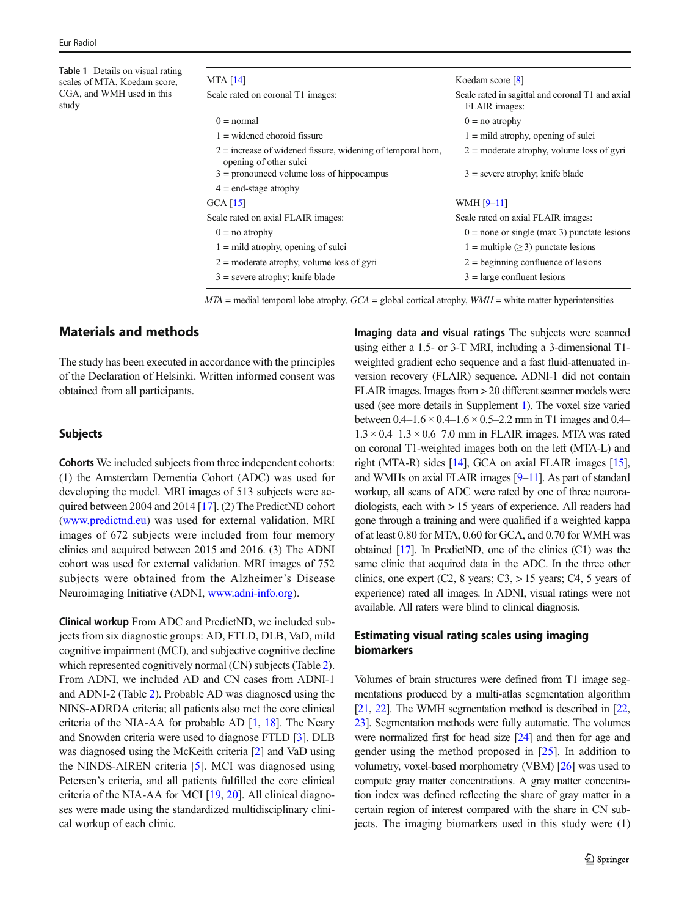<span id="page-2-0"></span>Table 1 Details on visual rating scales of MTA, Koedam score, CGA, and WMH used in this study

# MTA [\[14\]](#page-9-0)

 $G$ 

| MTA [14]                                                                                | Koedam score [8]                                                  |
|-----------------------------------------------------------------------------------------|-------------------------------------------------------------------|
| Scale rated on coronal T1 images:                                                       | Scale rated in sagittal and coronal T1 and axial<br>FLAIR images: |
| $0 = normal$                                                                            | $0 =$ no atrophy                                                  |
| $1 =$ widened choroid fissure                                                           | $1 =$ mild atrophy, opening of sulci                              |
| $2$ = increase of widened fissure, widening of temporal horn,<br>opening of other sulci | $2 =$ moderate atrophy, volume loss of gyri                       |
| $3 =$ pronounced volume loss of hippocampus                                             | $3$ = severe atrophy; knife blade                                 |
| $4 =$ end-stage atrophy                                                                 |                                                                   |
| GCA [15]                                                                                | WMH $[9-11]$                                                      |
| Scale rated on axial FLAIR images:                                                      | Scale rated on axial FLAIR images:                                |
| $0 =$ no atrophy                                                                        | $0 =$ none or single (max 3) punctate lesions                     |
| $1 =$ mild atrophy, opening of sulci                                                    | $1 = \text{multiple } (\geq 3) \text{ punctate lesions}$          |
| $2 =$ moderate atrophy, volume loss of gyri                                             | $2 =$ beginning confluence of lesions                             |
| $3$ = severe atrophy; knife blade                                                       | $3 = \text{large}$ confluent lesions                              |

 $MTA$  = medial temporal lobe atrophy,  $GCA$  = global cortical atrophy,  $WMH$  = white matter hyperintensities

# Materials and methods

The study has been executed in accordance with the principles of the Declaration of Helsinki. Written informed consent was obtained from all participants.

# **Subjects**

Cohorts We included subjects from three independent cohorts: (1) the Amsterdam Dementia Cohort (ADC) was used for developing the model. MRI images of 513 subjects were ac-quired between 2004 and 2014 [[17\]](#page-10-0). (2) The PredictND cohort [\(www.predictnd.eu](http://www.predictnd.eu)) was used for external validation. MRI images of 672 subjects were included from four memory clinics and acquired between 2015 and 2016. (3) The ADNI cohort was used for external validation. MRI images of 752 subjects were obtained from the Alzheimer's Disease Neuroimaging Initiative (ADNI, [www.adni-info.org\)](http://www.adni-info.org).

Clinical workup From ADC and PredictND, we included subjects from six diagnostic groups: AD, FTLD, DLB, VaD, mild cognitive impairment (MCI), and subjective cognitive decline which represented cognitively normal (CN) subjects (Table [2\)](#page-3-0). From ADNI, we included AD and CN cases from ADNI-1 and ADNI-2 (Table [2\)](#page-3-0). Probable AD was diagnosed using the NINS-ADRDA criteria; all patients also met the core clinical criteria of the NIA-AA for probable AD [[1,](#page-9-0) [18](#page-10-0)]. The Neary and Snowden criteria were used to diagnose FTLD [\[3](#page-9-0)]. DLB was diagnosed using the McKeith criteria [[2\]](#page-9-0) and VaD using the NINDS-AIREN criteria [\[5](#page-9-0)]. MCI was diagnosed using Petersen's criteria, and all patients fulfilled the core clinical criteria of the NIA-AA for MCI [[19,](#page-10-0) [20\]](#page-10-0). All clinical diagnoses were made using the standardized multidisciplinary clinical workup of each clinic.

Imaging data and visual ratings The subjects were scanned using either a 1.5- or 3-T MRI, including a 3-dimensional T1 weighted gradient echo sequence and a fast fluid-attenuated inversion recovery (FLAIR) sequence. ADNI-1 did not contain FLAIR images. Images from > 20 different scanner models were used (see more details in Supplement 1). The voxel size varied between  $0.4-1.6 \times 0.4-1.6 \times 0.5-2.2$  mm in T1 images and 0.4–  $1.3 \times 0.4$ – $1.3 \times 0.6$ –7.0 mm in FLAIR images. MTA was rated on coronal T1-weighted images both on the left (MTA-L) and right (MTA-R) sides [[14](#page-9-0)], GCA on axial FLAIR images [\[15\]](#page-9-0), and WMHs on axial FLAIR images [[9](#page-9-0)–[11](#page-9-0)]. As part of standard workup, all scans of ADC were rated by one of three neuroradiologists, each with > 15 years of experience. All readers had gone through a training and were qualified if a weighted kappa of at least 0.80 for MTA, 0.60 for GCA, and 0.70 for WMH was obtained [\[17\]](#page-10-0). In PredictND, one of the clinics (C1) was the same clinic that acquired data in the ADC. In the three other clinics, one expert  $(C2, 8 \text{ years}; C3, > 15 \text{ years}; C4, 5 \text{ years of}$ experience) rated all images. In ADNI, visual ratings were not available. All raters were blind to clinical diagnosis.

# Estimating visual rating scales using imaging biomarkers

Volumes of brain structures were defined from T1 image segmentations produced by a multi-atlas segmentation algorithm [\[21,](#page-10-0) [22](#page-10-0)]. The WMH segmentation method is described in [\[22,](#page-10-0) [23\]](#page-10-0). Segmentation methods were fully automatic. The volumes were normalized first for head size [\[24\]](#page-10-0) and then for age and gender using the method proposed in [[25](#page-10-0)]. In addition to volumetry, voxel-based morphometry (VBM) [\[26\]](#page-10-0) was used to compute gray matter concentrations. A gray matter concentration index was defined reflecting the share of gray matter in a certain region of interest compared with the share in CN subjects. The imaging biomarkers used in this study were (1)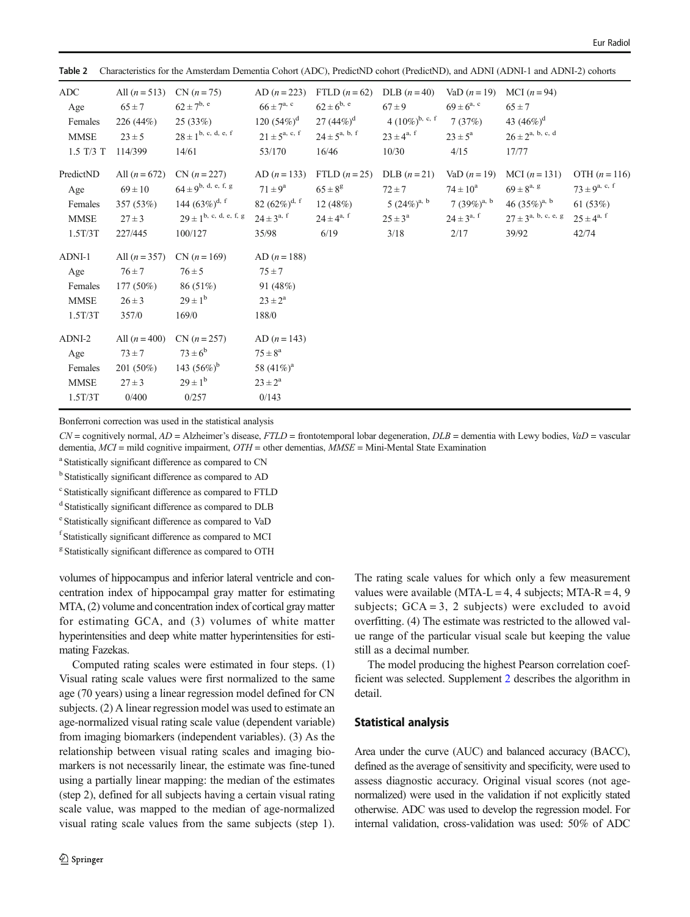| Table 2<br>Characteristics for the Affistergam Dementia Conort (ADC), Predictive Conort (Predictive), and ADNI (ADNI-1 and ADNI-2) conorts |                                                                      |                                                                                                                                |                                                                                             |                                                                                            |                                                                                         |                                                                                           |                                                                                                          |                                                                                  |
|--------------------------------------------------------------------------------------------------------------------------------------------|----------------------------------------------------------------------|--------------------------------------------------------------------------------------------------------------------------------|---------------------------------------------------------------------------------------------|--------------------------------------------------------------------------------------------|-----------------------------------------------------------------------------------------|-------------------------------------------------------------------------------------------|----------------------------------------------------------------------------------------------------------|----------------------------------------------------------------------------------|
| <b>ADC</b><br>Age<br>Females<br><b>MMSE</b><br>$1.5$ T/3 T                                                                                 | All $(n = 513)$<br>$65 \pm 7$<br>226 (44%)<br>$23 \pm 5$<br>114/399  | $CN (n = 75)$<br>$62 \pm 7^{b, e}$<br>25 (33%)<br>$28 \pm 1^{b, c, d, e, f}$<br>14/61                                          | AD $(n = 223)$<br>$66 \pm 7^{\rm a, c}$<br>120 $(54\%)^d$<br>$21 \pm 5^{a, c, f}$<br>53/170 | FTLD $(n=62)$<br>$62 \pm 6^{b, e}$<br>27 $(44\%)^{\rm d}$<br>$24 \pm 5^{a, b, f}$<br>16/46 | DLB $(n=40)$<br>$67 \pm 9$<br>4 $(10\%)^{\text{b, c, f}}$<br>$23 \pm 4^{a, f}$<br>10/30 | VaD $(n = 19)$<br>$69 \pm 6^{a, c}$<br>7(37%)<br>$23 \pm 5^{\rm a}$<br>4/15               | MCI $(n = 94)$<br>$65 \pm 7$<br>43 $(46\%)^d$<br>$26 \pm 2^{a, b, c, d}$<br>17/77                        |                                                                                  |
| PredictND<br>Age<br>Females<br><b>MMSE</b><br>1.5T/3T                                                                                      | All $(n = 672)$<br>$69 \pm 10$<br>357 (53%)<br>$27 \pm 3$<br>227/445 | $CN (n = 227)$<br>$64 \pm 9^{\rm b, \ d, \ e, \ f, \ g}$<br>144 $(63\%)^{\rm d,~f}$<br>$79 + 1^{b}$ , c, d, e, f, g<br>100/127 | AD $(n = 133)$<br>$71 \pm 9^a$<br>82 $(62\%)^{\rm d, \ f}$<br>$24 \pm 3^{a,\;f}$<br>35/98   | FTLD $(n=25)$<br>$65 \pm 8^{\rm g}$<br>12(48%)<br>$24 \pm 4^{a, f}$<br>6/19                | DLB $(n=21)$<br>$72 \pm 7$<br>5 $(24\%)^{\text{a, b}}$<br>$25 \pm 3^{\rm a}$<br>3/18    | VaD $(n = 19)$<br>$74 \pm 10^a$<br>7 $(39\%)^{\text{a, b}}$<br>$24 \pm 3^{a,\;f}$<br>2/17 | MCI $(n = 131)$<br>$69 \pm 8^{a, g}$<br>46 $(35\%)^{\text{a, b}}$<br>$27 \pm 3^{a, b, c, e, g}$<br>39/92 | OTH $(n = 116)$<br>$73 \pm 9^{a, c, f}$<br>61(53%)<br>$25 \pm 4^{a, f}$<br>42/74 |
| ADNI-1<br>Age<br>Females<br><b>MMSE</b><br>1.5T/3T                                                                                         | All $(n = 357)$<br>$76 \pm 7$<br>$177(50\%)$<br>$26 \pm 3$<br>357/0  | $CN (n = 169)$<br>$76 \pm 5$<br>86 (51%)<br>$29 \pm 1^{b}$<br>169/0                                                            | $AD (n = 188)$<br>$75 \pm 7$<br>91 (48%)<br>$23 \pm 2^a$<br>188/0                           |                                                                                            |                                                                                         |                                                                                           |                                                                                                          |                                                                                  |
| ADNI-2<br>Age<br>Females<br><b>MMSE</b><br>1.5T/3T                                                                                         | All $(n = 400)$<br>$73 \pm 7$<br>201 (50%)<br>$27 \pm 3$<br>0/400    | $CN (n = 257)$<br>$73 \pm 6^b$<br>143 $(56\%)^b$<br>$29 \pm 1^{b}$<br>0/257                                                    | AD $(n = 143)$<br>$75 \pm 8^{\rm a}$<br>58 $(41\%)^a$<br>$23 \pm 2^a$<br>0/143              |                                                                                            |                                                                                         |                                                                                           |                                                                                                          |                                                                                  |

<span id="page-3-0"></span>Table 2 Characteristics for the Amsterdam Dementia Cohort (ADC), PredictND cohort (PredictND), and ADNI (ADNI-1 and ADNI-2) cohorts

Bonferroni correction was used in the statistical analysis

 $CN =$  cognitively normal,  $AD =$  Alzheimer's disease,  $FTLD =$  frontotemporal lobar degeneration,  $DLB =$  dementia with Lewy bodies,  $VaD =$  vascular dementia, MCI = mild cognitive impairment, OTH = other dementias, MMSE = Mini-Mental State Examination

<sup>a</sup> Statistically significant difference as compared to CN

<sup>b</sup> Statistically significant difference as compared to AD

<sup>c</sup> Statistically significant difference as compared to FTLD

<sup>d</sup> Statistically significant difference as compared to DLB

e Statistically significant difference as compared to VaD

f Statistically significant difference as compared to MCI

<sup>g</sup> Statistically significant difference as compared to OTH

volumes of hippocampus and inferior lateral ventricle and concentration index of hippocampal gray matter for estimating MTA, (2) volume and concentration index of cortical gray matter for estimating GCA, and (3) volumes of white matter hyperintensities and deep white matter hyperintensities for estimating Fazekas.

Computed rating scales were estimated in four steps. (1) Visual rating scale values were first normalized to the same age (70 years) using a linear regression model defined for CN subjects. (2) A linear regression model was used to estimate an age-normalized visual rating scale value (dependent variable) from imaging biomarkers (independent variables). (3) As the relationship between visual rating scales and imaging biomarkers is not necessarily linear, the estimate was fine-tuned using a partially linear mapping: the median of the estimates (step 2), defined for all subjects having a certain visual rating scale value, was mapped to the median of age-normalized visual rating scale values from the same subjects (step 1).

The rating scale values for which only a few measurement values were available (MTA-L = 4, 4 subjects; MTA-R = 4, 9 subjects;  $GCA = 3$ , 2 subjects) were excluded to avoid overfitting. (4) The estimate was restricted to the allowed value range of the particular visual scale but keeping the value still as a decimal number.

The model producing the highest Pearson correlation coefficient was selected. Supplement 2 describes the algorithm in detail.

# Statistical analysis

Area under the curve (AUC) and balanced accuracy (BACC), defined as the average of sensitivity and specificity, were used to assess diagnostic accuracy. Original visual scores (not agenormalized) were used in the validation if not explicitly stated otherwise. ADC was used to develop the regression model. For internal validation, cross-validation was used: 50% of ADC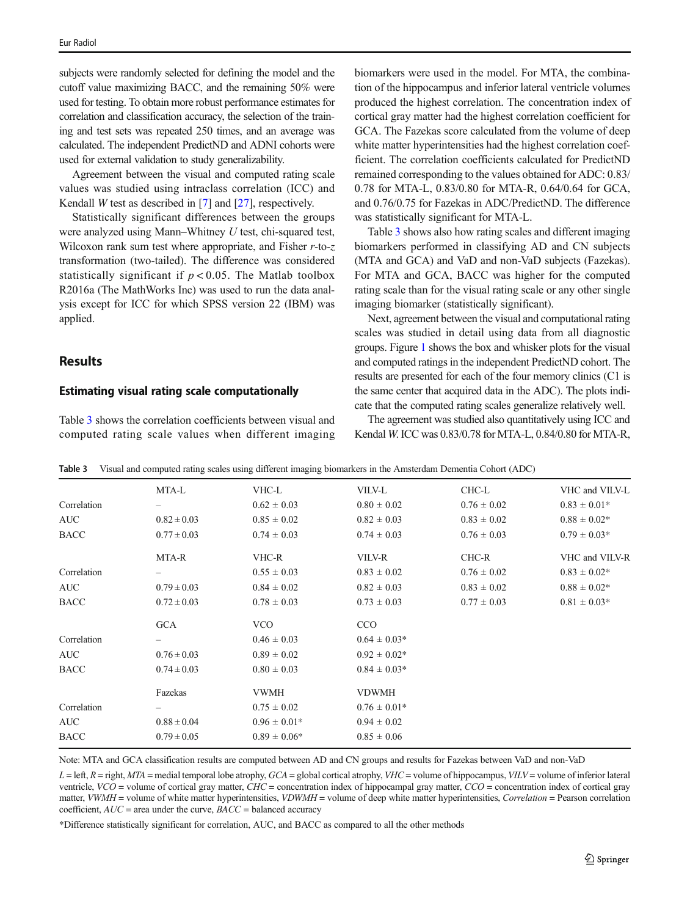subjects were randomly selected for defining the model and the cutoff value maximizing BACC, and the remaining 50% were used for testing. To obtain more robust performance estimates for correlation and classification accuracy, the selection of the training and test sets was repeated 250 times, and an average was calculated. The independent PredictND and ADNI cohorts were used for external validation to study generalizability.

Agreement between the visual and computed rating scale values was studied using intraclass correlation (ICC) and Kendall W test as described in [[7\]](#page-9-0) and [\[27](#page-10-0)], respectively.

Statistically significant differences between the groups were analyzed using Mann–Whitney U test, chi-squared test, Wilcoxon rank sum test where appropriate, and Fisher  $r$ -to- $z$ transformation (two-tailed). The difference was considered statistically significant if  $p < 0.05$ . The Matlab toolbox R2016a (The MathWorks Inc) was used to run the data analysis except for ICC for which SPSS version 22 (IBM) was applied.

# Results

# Estimating visual rating scale computationally

Table 3 shows the correlation coefficients between visual and computed rating scale values when different imaging

biomarkers were used in the model. For MTA, the combination of the hippocampus and inferior lateral ventricle volumes produced the highest correlation. The concentration index of cortical gray matter had the highest correlation coefficient for GCA. The Fazekas score calculated from the volume of deep white matter hyperintensities had the highest correlation coefficient. The correlation coefficients calculated for PredictND remained corresponding to the values obtained for ADC: 0.83/ 0.78 for MTA-L, 0.83/0.80 for MTA-R, 0.64/0.64 for GCA, and 0.76/0.75 for Fazekas in ADC/PredictND. The difference was statistically significant for MTA-L.

Table 3 shows also how rating scales and different imaging biomarkers performed in classifying AD and CN subjects (MTA and GCA) and VaD and non-VaD subjects (Fazekas). For MTA and GCA, BACC was higher for the computed rating scale than for the visual rating scale or any other single imaging biomarker (statistically significant).

Next, agreement between the visual and computational rating scales was studied in detail using data from all diagnostic groups. Figure [1](#page-5-0) shows the box and whisker plots for the visual and computed ratings in the independent PredictND cohort. The results are presented for each of the four memory clinics (C1 is the same center that acquired data in the ADC). The plots indicate that the computed rating scales generalize relatively well.

The agreement was studied also quantitatively using ICC and Kendal W. ICC was 0.83/0.78 for MTA-L, 0.84/0.80 for MTA-R,

|             | MTA-L           | VHC-L            | VILV-L           | CHC-L           | VHC and VILV-L   |
|-------------|-----------------|------------------|------------------|-----------------|------------------|
| Correlation |                 | $0.62 \pm 0.03$  | $0.80 \pm 0.02$  | $0.76 \pm 0.02$ | $0.83 \pm 0.01*$ |
| <b>AUC</b>  | $0.82 \pm 0.03$ | $0.85 \pm 0.02$  | $0.82 \pm 0.03$  | $0.83 \pm 0.02$ | $0.88 \pm 0.02*$ |
| <b>BACC</b> | $0.77 \pm 0.03$ | $0.74 \pm 0.03$  | $0.74 \pm 0.03$  | $0.76 \pm 0.03$ | $0.79 \pm 0.03*$ |
|             | MTA-R           | VHC-R            | VILV-R           | CHC-R           | VHC and VILV-R   |
| Correlation |                 | $0.55 \pm 0.03$  | $0.83 \pm 0.02$  | $0.76 \pm 0.02$ | $0.83 \pm 0.02*$ |
| <b>AUC</b>  | $0.79 \pm 0.03$ | $0.84 \pm 0.02$  | $0.82 \pm 0.03$  | $0.83 \pm 0.02$ | $0.88 \pm 0.02*$ |
| <b>BACC</b> | $0.72 \pm 0.03$ | $0.78 \pm 0.03$  | $0.73 \pm 0.03$  | $0.77 \pm 0.03$ | $0.81 \pm 0.03*$ |
|             | <b>GCA</b>      | VCO              | CCO              |                 |                  |
| Correlation |                 | $0.46 \pm 0.03$  | $0.64 \pm 0.03*$ |                 |                  |
| AUC         | $0.76 \pm 0.03$ | $0.89 \pm 0.02$  | $0.92 \pm 0.02*$ |                 |                  |
| <b>BACC</b> | $0.74 \pm 0.03$ | $0.80 \pm 0.03$  | $0.84 \pm 0.03*$ |                 |                  |
|             | Fazekas         | <b>VWMH</b>      | <b>VDWMH</b>     |                 |                  |
| Correlation |                 | $0.75 \pm 0.02$  | $0.76 \pm 0.01*$ |                 |                  |
| AUC         | $0.88 \pm 0.04$ | $0.96 \pm 0.01*$ | $0.94 \pm 0.02$  |                 |                  |
| <b>BACC</b> | $0.79 \pm 0.05$ | $0.89 \pm 0.06*$ | $0.85 \pm 0.06$  |                 |                  |
|             |                 |                  |                  |                 |                  |

Table 3 Visual and computed rating scales using different imaging biomarkers in the Amsterdam Dementia Cohort (ADC)

Note: MTA and GCA classification results are computed between AD and CN groups and results for Fazekas between VaD and non-VaD

 $L = \text{left}, R = \text{right}, MTA = \text{median}$  lobe atrophy,  $GCA = \text{global cortical}$  atrophy,  $VHC = \text{volume}$  of hippocampus,  $VILV = \text{volume}$  of inferior lateral ventricle,  $VCO =$  volume of cortical gray matter,  $CHC =$  concentration index of hippocampal gray matter,  $CCO =$  concentration index of cortical gray matter, VWMH = volume of white matter hyperintensities, VDWMH = volume of deep white matter hyperintensities, Correlation = Pearson correlation coefficient,  $AUC =$  area under the curve,  $BACC =$  balanced accuracy

\*Difference statistically significant for correlation, AUC, and BACC as compared to all the other methods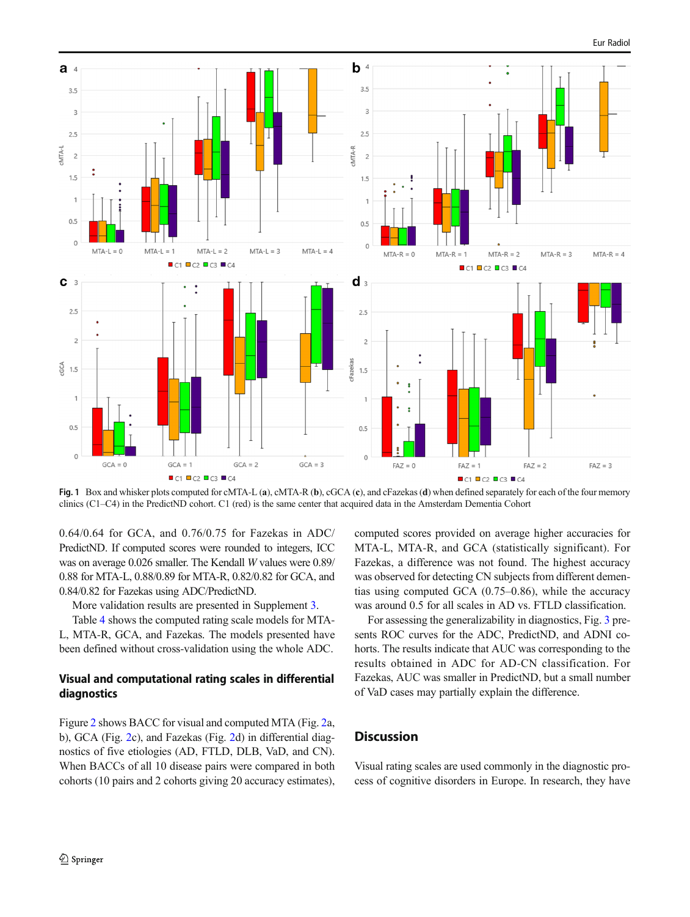<span id="page-5-0"></span>

Fig. 1 Box and whisker plots computed for cMTA-L (a), cMTA-R (b), cGCA (c), and cFazekas (d) when defined separately for each of the four memory clinics (C1–C4) in the PredictND cohort. C1 (red) is the same center that acquired data in the Amsterdam Dementia Cohort

0.64/0.64 for GCA, and 0.76/0.75 for Fazekas in ADC/ PredictND. If computed scores were rounded to integers, ICC was on average 0.026 smaller. The Kendall W values were 0.89/ 0.88 for MTA-L, 0.88/0.89 for MTA-R, 0.82/0.82 for GCA, and 0.84/0.82 for Fazekas using ADC/PredictND.

More validation results are presented in Supplement 3.

Table [4](#page-6-0) shows the computed rating scale models for MTA-L, MTA-R, GCA, and Fazekas. The models presented have been defined without cross-validation using the whole ADC.

# Visual and computational rating scales in differential diagnostics

Figure [2](#page-7-0) shows BACC for visual and computed MTA (Fig. [2](#page-7-0)a, b), GCA (Fig. [2c](#page-7-0)), and Fazekas (Fig. [2](#page-7-0)d) in differential diagnostics of five etiologies (AD, FTLD, DLB, VaD, and CN). When BACCs of all 10 disease pairs were compared in both cohorts (10 pairs and 2 cohorts giving 20 accuracy estimates),

computed scores provided on average higher accuracies for MTA-L, MTA-R, and GCA (statistically significant). For Fazekas, a difference was not found. The highest accuracy was observed for detecting CN subjects from different dementias using computed GCA (0.75–0.86), while the accuracy was around 0.5 for all scales in AD vs. FTLD classification.

For assessing the generalizability in diagnostics, Fig. [3](#page-8-0) presents ROC curves for the ADC, PredictND, and ADNI cohorts. The results indicate that AUC was corresponding to the results obtained in ADC for AD-CN classification. For Fazekas, AUC was smaller in PredictND, but a small number of VaD cases may partially explain the difference.

# **Discussion**

Visual rating scales are used commonly in the diagnostic process of cognitive disorders in Europe. In research, they have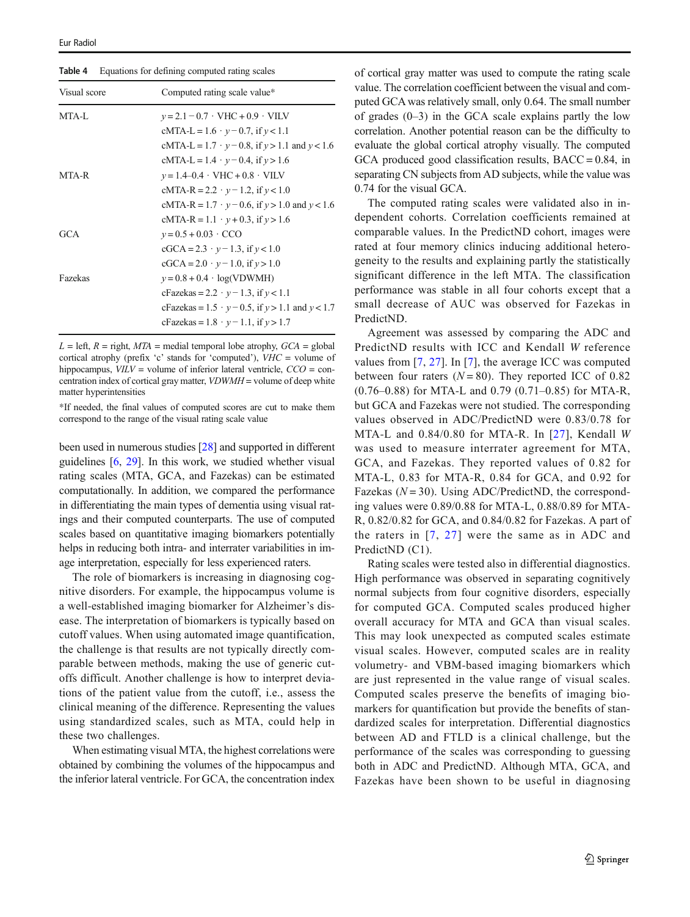<span id="page-6-0"></span>Table 4 Equations for defining computed rating scales

| Visual score | Computed rating scale value*                                |
|--------------|-------------------------------------------------------------|
| MTA-L        | $v = 2.1 - 0.7 \cdot VHC + 0.9 \cdot VILV$                  |
|              | $cMTA-L = 1.6 \cdot y - 0.7$ , if $y < 1.1$                 |
|              | cMTA-L = $1.7 \cdot y - 0.8$ , if $y > 1.1$ and $y < 1.6$   |
|              | cMTA-L = $1.4 \cdot y - 0.4$ , if $y > 1.6$                 |
| MTA-R        | $v = 1.4 - 0.4 \cdot VHC + 0.8 \cdot VILV$                  |
|              | cMTA-R = 2.2 $\cdot$ y – 1.2, if y < 1.0                    |
|              | cMTA-R = $1.7 \cdot y - 0.6$ , if $y > 1.0$ and $y < 1.6$   |
|              | cMTA-R = $1.1 \cdot y + 0.3$ , if $y > 1.6$                 |
| GCA          | $y = 0.5 + 0.03 \cdot CCO$                                  |
|              | $cGCA = 2.3 \cdot y - 1.3$ , if $y < 1.0$                   |
|              | $cGCA = 2.0 \cdot y - 1.0$ , if $y > 1.0$                   |
| Fazekas      | $y = 0.8 + 0.4 \cdot log(VDWMH)$                            |
|              | cFazekas = 2.2 · $y - 1.3$ , if $y < 1.1$                   |
|              | cFazekas = $1.5 \cdot y - 0.5$ , if $y > 1.1$ and $y < 1.7$ |
|              | cFazekas = $1.8 \cdot y - 1.1$ , if $y > 1.7$               |

 $L =$  left,  $R =$  right,  $MTA =$  medial temporal lobe atrophy,  $GCA =$  global cortical atrophy (prefix 'c' stands for 'computed'),  $VHC =$  volume of hippocampus,  $VILV =$  volume of inferior lateral ventricle,  $CCO =$  concentration index of cortical gray matter, VDWMH = volume of deep white matter hyperintensities

\*If needed, the final values of computed scores are cut to make them correspond to the range of the visual rating scale value

been used in numerous studies [\[28](#page-10-0)] and supported in different guidelines [[6,](#page-9-0) [29\]](#page-10-0). In this work, we studied whether visual rating scales (MTA, GCA, and Fazekas) can be estimated computationally. In addition, we compared the performance in differentiating the main types of dementia using visual ratings and their computed counterparts. The use of computed scales based on quantitative imaging biomarkers potentially helps in reducing both intra- and interrater variabilities in image interpretation, especially for less experienced raters.

The role of biomarkers is increasing in diagnosing cognitive disorders. For example, the hippocampus volume is a well-established imaging biomarker for Alzheimer's disease. The interpretation of biomarkers is typically based on cutoff values. When using automated image quantification, the challenge is that results are not typically directly comparable between methods, making the use of generic cutoffs difficult. Another challenge is how to interpret deviations of the patient value from the cutoff, i.e., assess the clinical meaning of the difference. Representing the values using standardized scales, such as MTA, could help in these two challenges.

When estimating visual MTA, the highest correlations were obtained by combining the volumes of the hippocampus and the inferior lateral ventricle. For GCA, the concentration index

of cortical gray matter was used to compute the rating scale value. The correlation coefficient between the visual and computed GCA was relatively small, only 0.64. The small number of grades  $(0-3)$  in the GCA scale explains partly the low correlation. Another potential reason can be the difficulty to evaluate the global cortical atrophy visually. The computed GCA produced good classification results,  $BACC = 0.84$ , in separating CN subjects from AD subjects, while the value was 0.74 for the visual GCA.

The computed rating scales were validated also in independent cohorts. Correlation coefficients remained at comparable values. In the PredictND cohort, images were rated at four memory clinics inducing additional heterogeneity to the results and explaining partly the statistically significant difference in the left MTA. The classification performance was stable in all four cohorts except that a small decrease of AUC was observed for Fazekas in PredictND.

Agreement was assessed by comparing the ADC and PredictND results with ICC and Kendall W reference values from [\[7](#page-9-0), [27\]](#page-10-0). In [[7\]](#page-9-0), the average ICC was computed between four raters  $(N = 80)$ . They reported ICC of 0.82 (0.76–0.88) for MTA-L and 0.79 (0.71–0.85) for MTA-R, but GCA and Fazekas were not studied. The corresponding values observed in ADC/PredictND were 0.83/0.78 for MTA-L and 0.84/0.80 for MTA-R. In [[27](#page-10-0)], Kendall W was used to measure interrater agreement for MTA, GCA, and Fazekas. They reported values of 0.82 for MTA-L, 0.83 for MTA-R, 0.84 for GCA, and 0.92 for Fazekas ( $N = 30$ ). Using ADC/PredictND, the corresponding values were 0.89/0.88 for MTA-L, 0.88/0.89 for MTA-R, 0.82/0.82 for GCA, and 0.84/0.82 for Fazekas. A part of the raters in [[7,](#page-9-0) [27](#page-10-0)] were the same as in ADC and PredictND (C1).

Rating scales were tested also in differential diagnostics. High performance was observed in separating cognitively normal subjects from four cognitive disorders, especially for computed GCA. Computed scales produced higher overall accuracy for MTA and GCA than visual scales. This may look unexpected as computed scales estimate visual scales. However, computed scales are in reality volumetry- and VBM-based imaging biomarkers which are just represented in the value range of visual scales. Computed scales preserve the benefits of imaging biomarkers for quantification but provide the benefits of standardized scales for interpretation. Differential diagnostics between AD and FTLD is a clinical challenge, but the performance of the scales was corresponding to guessing both in ADC and PredictND. Although MTA, GCA, and Fazekas have been shown to be useful in diagnosing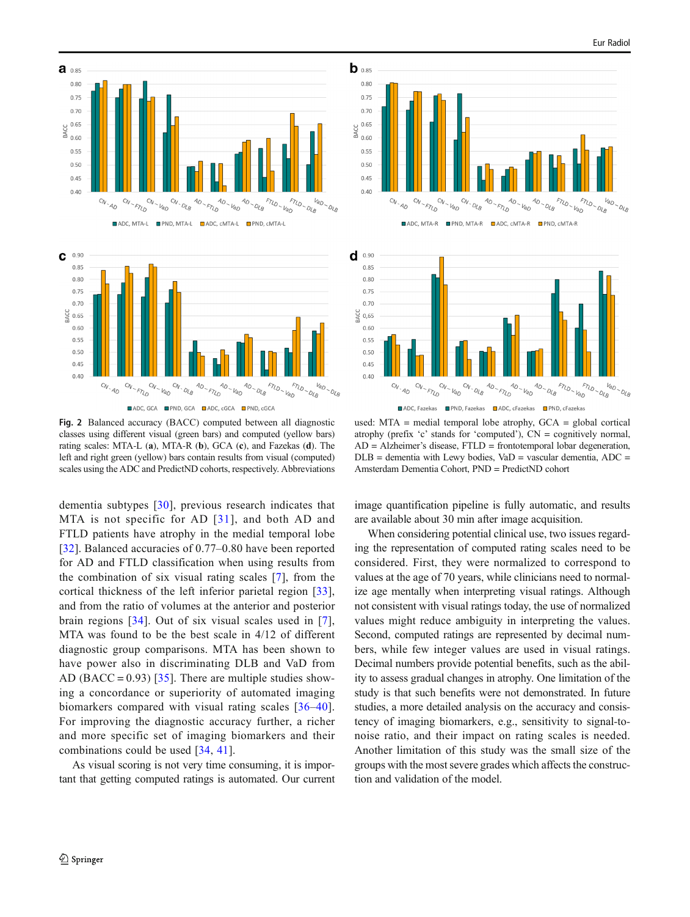<span id="page-7-0"></span>

**■ADC. GCA ■PND. GCA ■ADC. cGCA ■PND. cGCA** 

Fig. 2 Balanced accuracy (BACC) computed between all diagnostic classes using different visual (green bars) and computed (yellow bars) rating scales: MTA-L (a), MTA-R (b), GCA (c), and Fazekas (d). The left and right green (yellow) bars contain results from visual (computed) scales using the ADC and PredictND cohorts, respectively. Abbreviations

dementia subtypes [[30](#page-10-0)], previous research indicates that MTA is not specific for AD [[31\]](#page-10-0), and both AD and FTLD patients have atrophy in the medial temporal lobe [\[32\]](#page-10-0). Balanced accuracies of 0.77–0.80 have been reported for AD and FTLD classification when using results from the combination of six visual rating scales [\[7](#page-9-0)], from the cortical thickness of the left inferior parietal region [\[33](#page-10-0)], and from the ratio of volumes at the anterior and posterior brain regions [[34](#page-10-0)]. Out of six visual scales used in [[7](#page-9-0)], MTA was found to be the best scale in 4/12 of different diagnostic group comparisons. MTA has been shown to have power also in discriminating DLB and VaD from AD (BACC = 0.93) [\[35\]](#page-10-0). There are multiple studies showing a concordance or superiority of automated imaging biomarkers compared with visual rating scales [\[36](#page-10-0)–[40](#page-10-0)]. For improving the diagnostic accuracy further, a richer and more specific set of imaging biomarkers and their combinations could be used [[34,](#page-10-0) [41](#page-10-0)].

As visual scoring is not very time consuming, it is important that getting computed ratings is automated. Our current





used: MTA = medial temporal lobe atrophy, GCA = global cortical atrophy (prefix 'c' stands for 'computed'), CN = cognitively normal,  $AD =$  Alzheimer's disease, FTLD = frontotemporal lobar degeneration,  $DLB =$  dementia with Lewy bodies, Va $D =$  vascular dementia, ADC = Amsterdam Dementia Cohort, PND = PredictND cohort

image quantification pipeline is fully automatic, and results are available about 30 min after image acquisition.

When considering potential clinical use, two issues regarding the representation of computed rating scales need to be considered. First, they were normalized to correspond to values at the age of 70 years, while clinicians need to normalize age mentally when interpreting visual ratings. Although not consistent with visual ratings today, the use of normalized values might reduce ambiguity in interpreting the values. Second, computed ratings are represented by decimal numbers, while few integer values are used in visual ratings. Decimal numbers provide potential benefits, such as the ability to assess gradual changes in atrophy. One limitation of the study is that such benefits were not demonstrated. In future studies, a more detailed analysis on the accuracy and consistency of imaging biomarkers, e.g., sensitivity to signal-tonoise ratio, and their impact on rating scales is needed. Another limitation of this study was the small size of the groups with the most severe grades which affects the construction and validation of the model.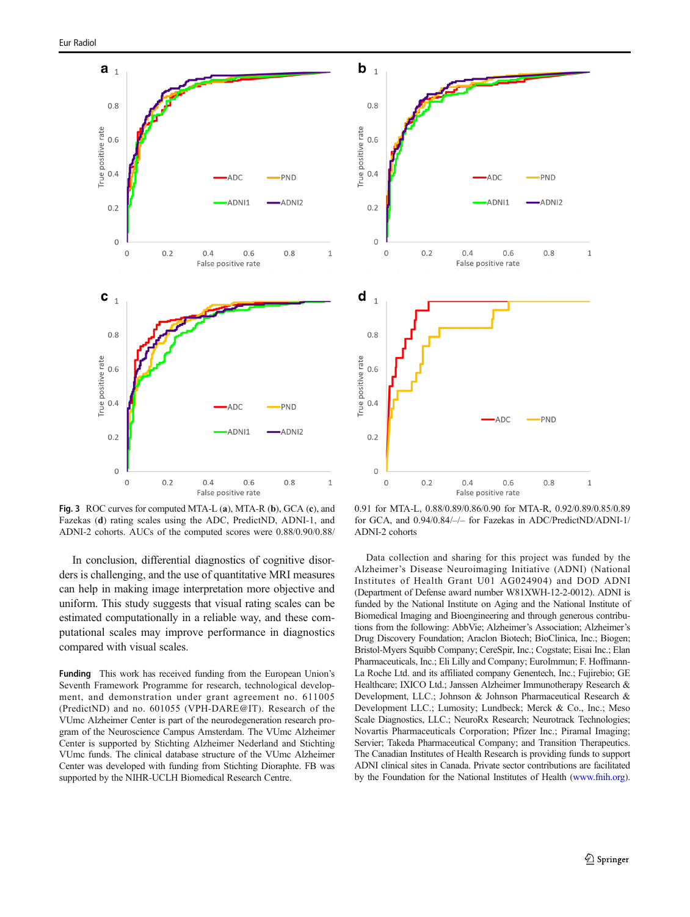<span id="page-8-0"></span>

Fig. 3 ROC curves for computed MTA-L (a), MTA-R (b), GCA (c), and Fazekas (d) rating scales using the ADC, PredictND, ADNI-1, and ADNI-2 cohorts. AUCs of the computed scores were 0.88/0.90/0.88/

In conclusion, differential diagnostics of cognitive disorders is challenging, and the use of quantitative MRI measures can help in making image interpretation more objective and uniform. This study suggests that visual rating scales can be estimated computationally in a reliable way, and these computational scales may improve performance in diagnostics compared with visual scales.

Funding This work has received funding from the European Union's Seventh Framework Programme for research, technological development, and demonstration under grant agreement no. 611005 (PredictND) and no. 601055 (VPH-DARE@IT). Research of the VUmc Alzheimer Center is part of the neurodegeneration research program of the Neuroscience Campus Amsterdam. The VUmc Alzheimer Center is supported by Stichting Alzheimer Nederland and Stichting VUmc funds. The clinical database structure of the VUmc Alzheimer Center was developed with funding from Stichting Dioraphte. FB was supported by the NIHR-UCLH Biomedical Research Centre.



0.91 for MTA-L, 0.88/0.89/0.86/0.90 for MTA-R, 0.92/0.89/0.85/0.89 for GCA, and 0.94/0.84/–/– for Fazekas in ADC/PredictND/ADNI-1/ ADNI-2 cohorts

Data collection and sharing for this project was funded by the Alzheimer's Disease Neuroimaging Initiative (ADNI) (National Institutes of Health Grant U01 AG024904) and DOD ADNI (Department of Defense award number W81XWH-12-2-0012). ADNI is funded by the National Institute on Aging and the National Institute of Biomedical Imaging and Bioengineering and through generous contributions from the following: AbbVie; Alzheimer's Association; Alzheimer's Drug Discovery Foundation; Araclon Biotech; BioClinica, Inc.; Biogen; Bristol-Myers Squibb Company; CereSpir, Inc.; Cogstate; Eisai Inc.; Elan Pharmaceuticals, Inc.; Eli Lilly and Company; EuroImmun; F. Hoffmann-La Roche Ltd. and its affiliated company Genentech, Inc.; Fujirebio; GE Healthcare; IXICO Ltd.; Janssen Alzheimer Immunotherapy Research & Development, LLC.; Johnson & Johnson Pharmaceutical Research & Development LLC.; Lumosity; Lundbeck; Merck & Co., Inc.; Meso Scale Diagnostics, LLC.; NeuroRx Research; Neurotrack Technologies; Novartis Pharmaceuticals Corporation; Pfizer Inc.; Piramal Imaging; Servier; Takeda Pharmaceutical Company; and Transition Therapeutics. The Canadian Institutes of Health Research is providing funds to support ADNI clinical sites in Canada. Private sector contributions are facilitated by the Foundation for the National Institutes of Health ([www.fnih.org\)](http://www.fnih.org).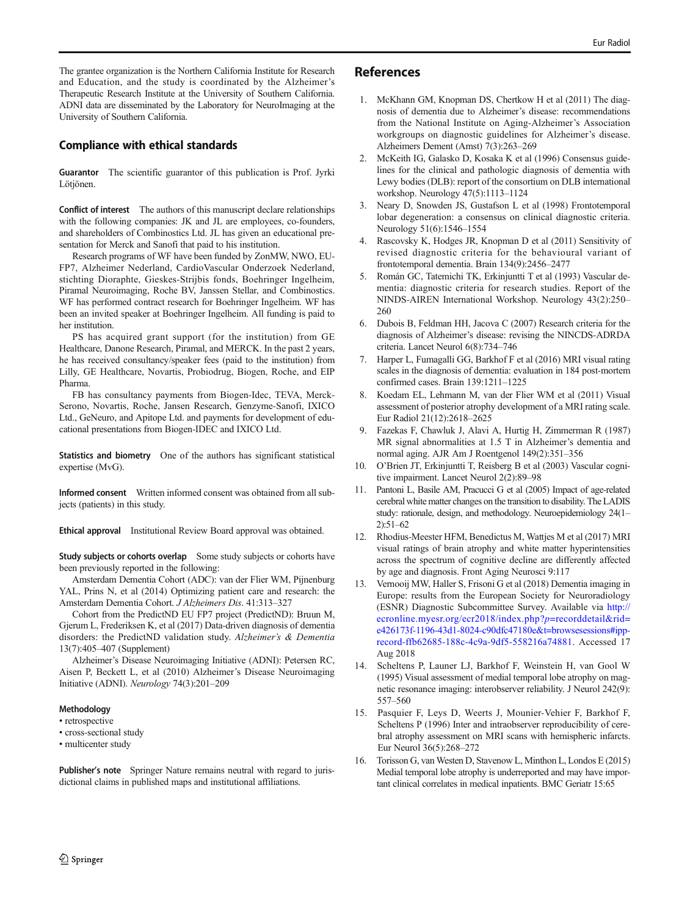<span id="page-9-0"></span>The grantee organization is the Northern California Institute for Research and Education, and the study is coordinated by the Alzheimer's Therapeutic Research Institute at the University of Southern California. ADNI data are disseminated by the Laboratory for NeuroImaging at the University of Southern California.

# Compliance with ethical standards

Guarantor The scientific guarantor of this publication is Prof. Jyrki Lötiönen.

Conflict of interest The authors of this manuscript declare relationships with the following companies: JK and JL are employees, co-founders, and shareholders of Combinostics Ltd. JL has given an educational presentation for Merck and Sanofi that paid to his institution.

Research programs of WF have been funded by ZonMW, NWO, EU-FP7, Alzheimer Nederland, CardioVascular Onderzoek Nederland, stichting Dioraphte, Gieskes-Strijbis fonds, Boehringer Ingelheim, Piramal Neuroimaging, Roche BV, Janssen Stellar, and Combinostics. WF has performed contract research for Boehringer Ingelheim. WF has been an invited speaker at Boehringer Ingelheim. All funding is paid to her institution.

PS has acquired grant support (for the institution) from GE Healthcare, Danone Research, Piramal, and MERCK. In the past 2 years, he has received consultancy/speaker fees (paid to the institution) from Lilly, GE Healthcare, Novartis, Probiodrug, Biogen, Roche, and EIP Pharma.

FB has consultancy payments from Biogen-Idec, TEVA, Merck-Serono, Novartis, Roche, Jansen Research, Genzyme-Sanofi, IXICO Ltd., GeNeuro, and Apitope Ltd. and payments for development of educational presentations from Biogen-IDEC and IXICO Ltd.

Statistics and biometry One of the authors has significant statistical expertise (MvG).

Informed consent Written informed consent was obtained from all subjects (patients) in this study.

Ethical approval Institutional Review Board approval was obtained.

Study subjects or cohorts overlap Some study subjects or cohorts have been previously reported in the following:

Amsterdam Dementia Cohort (ADC): van der Flier WM, Pijnenburg YAL, Prins N, et al (2014) Optimizing patient care and research: the Amsterdam Dementia Cohort. J Alzheimers Dis. 41:313–327

Cohort from the PredictND EU FP7 project (PredictND): Bruun M, Gjerum L, Frederiksen K, et al (2017) Data-driven diagnosis of dementia disorders: the PredictND validation study. Alzheimer's & Dementia 13(7):405–407 (Supplement)

Alzheimer's Disease Neuroimaging Initiative (ADNI): Petersen RC, Aisen P, Beckett L, et al (2010) Alzheimer's Disease Neuroimaging Initiative (ADNI). Neurology 74(3):201–209

#### Methodology

• retrospective

• cross-sectional study

• multicenter study

Publisher's note Springer Nature remains neutral with regard to jurisdictional claims in published maps and institutional affiliations.

#### References

- 1. McKhann GM, Knopman DS, Chertkow H et al (2011) The diagnosis of dementia due to Alzheimer's disease: recommendations from the National Institute on Aging-Alzheimer's Association workgroups on diagnostic guidelines for Alzheimer's disease. Alzheimers Dement (Amst) 7(3):263–269
- 2. McKeith IG, Galasko D, Kosaka K et al (1996) Consensus guidelines for the clinical and pathologic diagnosis of dementia with Lewy bodies (DLB): report of the consortium on DLB international workshop. Neurology 47(5):1113–1124
- 3. Neary D, Snowden JS, Gustafson L et al (1998) Frontotemporal lobar degeneration: a consensus on clinical diagnostic criteria. Neurology 51(6):1546–1554
- 4. Rascovsky K, Hodges JR, Knopman D et al (2011) Sensitivity of revised diagnostic criteria for the behavioural variant of frontotemporal dementia. Brain 134(9):2456–2477
- 5. Román GC, Tatemichi TK, Erkinjuntti T et al (1993) Vascular dementia: diagnostic criteria for research studies. Report of the NINDS-AIREN International Workshop. Neurology 43(2):250– 260
- 6. Dubois B, Feldman HH, Jacova C (2007) Research criteria for the diagnosis of Alzheimer's disease: revising the NINCDS-ADRDA criteria. Lancet Neurol 6(8):734–746
- 7. Harper L, Fumagalli GG, Barkhof F et al (2016) MRI visual rating scales in the diagnosis of dementia: evaluation in 184 post-mortem confirmed cases. Brain 139:1211–1225
- 8. Koedam EL, Lehmann M, van der Flier WM et al (2011) Visual assessment of posterior atrophy development of a MRI rating scale. Eur Radiol 21(12):2618–2625
- 9. Fazekas F, Chawluk J, Alavi A, Hurtig H, Zimmerman R (1987) MR signal abnormalities at 1.5 T in Alzheimer's dementia and normal aging. AJR Am J Roentgenol 149(2):351–356
- 10. O'Brien JT, Erkinjuntti T, Reisberg B et al (2003) Vascular cognitive impairment. Lancet Neurol 2(2):89–98
- 11. Pantoni L, Basile AM, Pracucci G et al (2005) Impact of age-related cerebral white matter changes on the transition to disability. The LADIS study: rationale, design, and methodology. Neuroepidemiology 24(1– 2):51–62
- 12. Rhodius-Meester HFM, Benedictus M, Wattjes M et al (2017) MRI visual ratings of brain atrophy and white matter hyperintensities across the spectrum of cognitive decline are differently affected by age and diagnosis. Front Aging Neurosci 9:117
- 13. Vernooij MW, Haller S, Frisoni G et al (2018) Dementia imaging in Europe: results from the European Society for Neuroradiology (ESNR) Diagnostic Subcommittee Survey. Available via [http://](http://ecronline.myesr.org/ecr2018/index.php?p=recorddetail&rid=e426173f-1196-43d1-8024-c90dfc47180e&t=browsesessions#ipp-record-ffb62685-188c-4c9a-9df5-558216a74881) [ecronline.myesr.org/ecr2018/index.php?](http://ecronline.myesr.org/ecr2018/index.php?p=recorddetail&rid=e426173f-1196-43d1-8024-c90dfc47180e&t=browsesessions#ipp-record-ffb62685-188c-4c9a-9df5-558216a74881)p=recorddetail&rid= [e426173f-1196-43d1-8024-c90dfc47180e&t=browsesessions#ipp](http://ecronline.myesr.org/ecr2018/index.php?p=recorddetail&rid=e426173f-1196-43d1-8024-c90dfc47180e&t=browsesessions#ipp-record-ffb62685-188c-4c9a-9df5-558216a74881)[record-ffb62685-188c-4c9a-9df5-558216a74881](http://ecronline.myesr.org/ecr2018/index.php?p=recorddetail&rid=e426173f-1196-43d1-8024-c90dfc47180e&t=browsesessions#ipp-record-ffb62685-188c-4c9a-9df5-558216a74881). Accessed 17 Aug 2018
- 14. Scheltens P, Launer LJ, Barkhof F, Weinstein H, van Gool W (1995) Visual assessment of medial temporal lobe atrophy on magnetic resonance imaging: interobserver reliability. J Neurol 242(9): 557–560
- 15. Pasquier F, Leys D, Weerts J, Mounier-Vehier F, Barkhof F, Scheltens P (1996) Inter and intraobserver reproducibility of cerebral atrophy assessment on MRI scans with hemispheric infarcts. Eur Neurol 36(5):268–272
- 16. Torisson G, van Westen D, Stavenow L, Minthon L, Londos E (2015) Medial temporal lobe atrophy is underreported and may have important clinical correlates in medical inpatients. BMC Geriatr 15:65